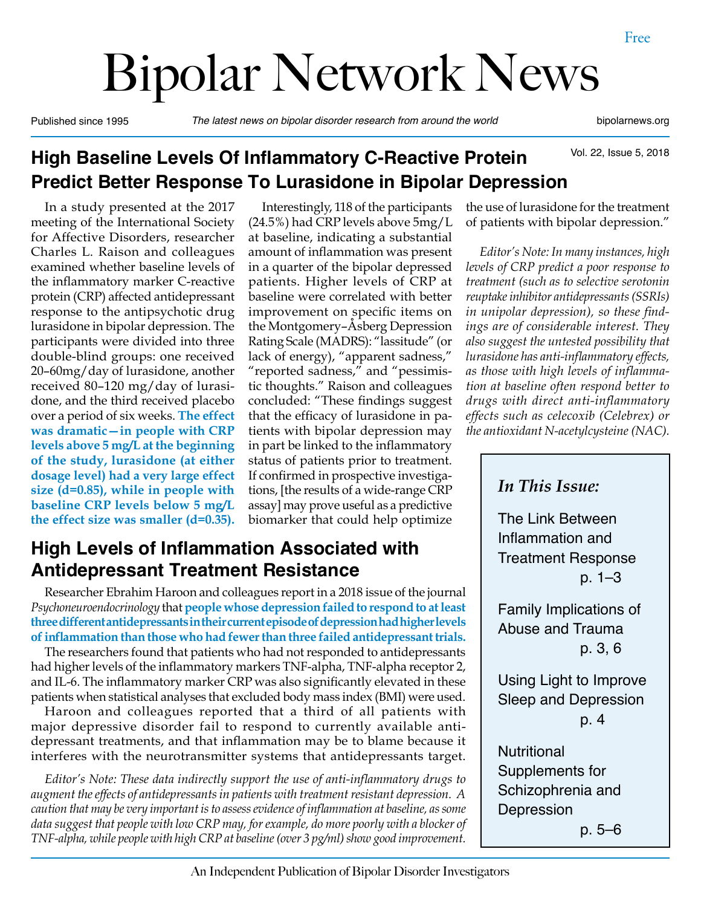# Bipolar Network News

Published since 1995 *The latest news on bipolar disorder research from around the world* bipolarnews.org

Vol. 22, Issue 5, 2018

# **High Baseline Levels Of Inflammatory C-Reactive Protein Predict Better Response To Lurasidone in Bipolar Depression**

In a study presented at the 2017 meeting of the International Society for Affective Disorders, researcher Charles L. Raison and colleagues examined whether baseline levels of the inflammatory marker C-reactive protein (CRP) affected antidepressant response to the antipsychotic drug lurasidone in bipolar depression. The participants were divided into three double-blind groups: one received 20–60mg/day of lurasidone, another received 80–120 mg/day of lurasidone, and the third received placebo over a period of six weeks. **The effect was dramatic—in people with CRP levels above 5 mg/L at the beginning of the study, lurasidone (at either dosage level) had a very large effect size (d=0.85), while in people with baseline CRP levels below 5 mg/L the effect size was smaller (d=0.35).** 

Interestingly, 118 of the participants (24.5%) had CRP levels above 5mg/L at baseline, indicating a substantial amount of inflammation was present in a quarter of the bipolar depressed patients. Higher levels of CRP at baseline were correlated with better improvement on specific items on the Montgomery–Åsberg Depression Rating Scale (MADRS): "lassitude" (or lack of energy), "apparent sadness," "reported sadness," and "pessimistic thoughts." Raison and colleagues concluded: "These findings suggest that the efficacy of lurasidone in patients with bipolar depression may in part be linked to the inflammatory status of patients prior to treatment. If confirmed in prospective investigations, [the results of a wide-range CRP assay] may prove useful as a predictive biomarker that could help optimize

# **High Levels of Inflammation Associated with Antidepressant Treatment Resistance**

Researcher Ebrahim Haroon and colleagues report in a 2018 issue of the journal *Psychoneuroendocrinology* that **people whose depression failed to respond to at least three different antidepressants in their current episode of depression had higher levels of inflammation than those who had fewer than three failed antidepressant trials.** 

The researchers found that patients who had not responded to antidepressants had higher levels of the inflammatory markers TNF-alpha, TNF-alpha receptor 2, and IL-6. The inflammatory marker CRP was also significantly elevated in these patients when statistical analyses that excluded body mass index (BMI) were used.

Haroon and colleagues reported that a third of all patients with major depressive disorder fail to respond to currently available antidepressant treatments, and that inflammation may be to blame because it interferes with the neurotransmitter systems that antidepressants target.

*Editor's Note: These data indirectly support the use of anti-inflammatory drugs to augment the effects of antidepressants in patients with treatment resistant depression. A caution that may be very important is to assess evidence of inflammation at baseline, as some data suggest that people with low CRP may, for example, do more poorly with a blocker of TNF-alpha, while people with high CRP at baseline (over 3 pg/ml) show good improvement.*

the use of lurasidone for the treatment of patients with bipolar depression."

*Editor's Note: In many instances, high levels of CRP predict a poor response to treatment (such as to selective serotonin reuptake inhibitor antidepressants (SSRIs) in unipolar depression), so these findings are of considerable interest. They also suggest the untested possibility that lurasidone has anti-inflammatory effects, as those with high levels of inflammation at baseline often respond better to drugs with direct anti-inflammatory effects such as celecoxib (Celebrex) or the antioxidant N-acetylcysteine (NAC).*

*In This Issue:* The Link Between Inflammation and Treatment Response p. 1–3 Family Implications of Abuse and Trauma p. 3, 6 Using Light to Improve Sleep and Depression p. 4 **Nutritional** 

Supplements for Schizophrenia and Depression

p. 5–6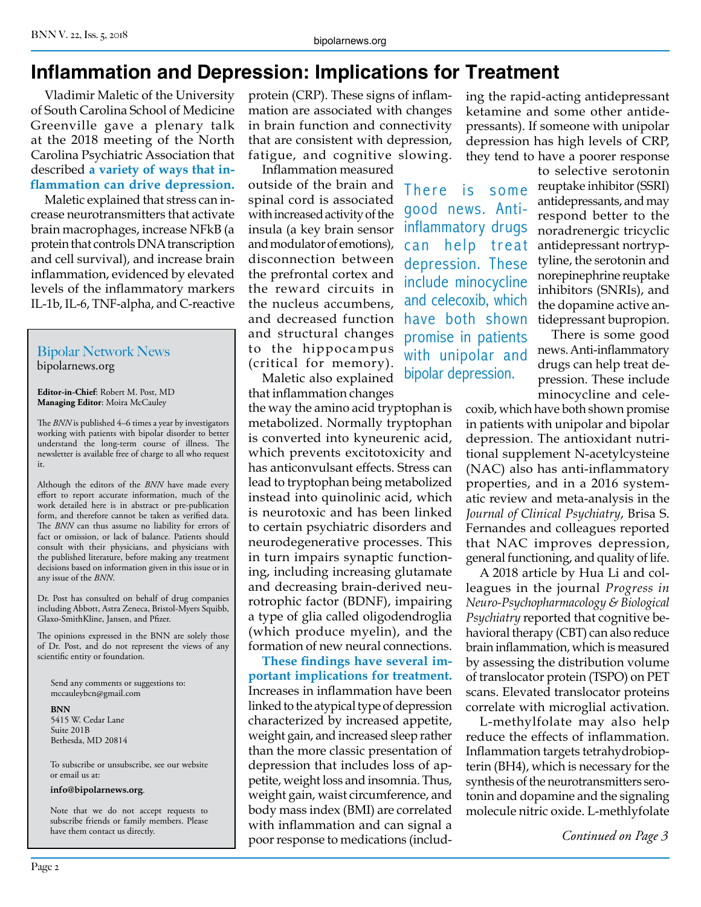# **Inflammation and Depression: Implications for Treatment**

Vladimir Maletic of the University of South Carolina School of Medicine Greenville gave a plenary talk at the 2018 meeting of the North Carolina Psychiatric Association that described **a variety of ways that inflammation can drive depression.**

Maletic explained that stress can increase neurotransmitters that activate brain macrophages, increase NFkB (a protein that controls DNA transcription and cell survival), and increase brain inflammation, evidenced by elevated levels of the inflammatory markers IL-1b, IL-6, TNF-alpha, and C-reactive

#### Bipolar Network News bipolarnews.org

**Editor-in-Chief**: Robert M. Post, MD **Managing Editor**: Moira McCauley

The *BNN* is published 4–6 times a year by investigators working with patients with bipolar disorder to better understand the long-term course of illness. The newsletter is available free of charge to all who request it.

Although the editors of the *BNN* have made every effort to report accurate information, much of the work detailed here is in abstract or pre-publication form, and therefore cannot be taken as verified data. The *BNN* can thus assume no liability for errors of fact or omission, or lack of balance. Patients should consult with their physicians, and physicians with the published literature, before making any treatment decisions based on information given in this issue or in any issue of the *BNN*.

Dr. Post has consulted on behalf of drug companies including Abbott, Astra Zeneca, Bristol-Myers Squibb, Glaxo-SmithKline, Jansen, and Pfizer.

The opinions expressed in the BNN are solely those of Dr. Post, and do not represent the views of any scientific entity or foundation.

Send any comments or suggestions to: mccauleybcn@gmail.com

**BNN** 5415 W. Cedar Lane Suite 201B Bethesda, MD 20814

To subscribe or unsubscribe, see our website or email us at:

**info@bipolarnews.org**.

Note that we do not accept requests to subscribe friends or family members. Please have them contact us directly.

protein (CRP). These signs of inflammation are associated with changes in brain function and connectivity that are consistent with depression, fatigue, and cognitive slowing.

Inflammation measured outside of the brain and spinal cord is associated with increased activity of the insula (a key brain sensor and modulator of emotions), disconnection between the prefrontal cortex and the reward circuits in the nucleus accumbens, and decreased function have both shown and structural changes to the hippocampus (critical for memory).

Maletic also explained that inflammation changes

the way the amino acid tryptophan is metabolized. Normally tryptophan is converted into kyneurenic acid, which prevents excitotoxicity and has anticonvulsant effects. Stress can lead to tryptophan being metabolized instead into quinolinic acid, which is neurotoxic and has been linked to certain psychiatric disorders and neurodegenerative processes. This in turn impairs synaptic functioning, including increasing glutamate and decreasing brain-derived neurotrophic factor (BDNF), impairing a type of glia called oligodendroglia (which produce myelin), and the formation of new neural connections.

**These findings have several important implications for treatment.**  Increases in inflammation have been linked to the atypical type of depression characterized by increased appetite, weight gain, and increased sleep rather than the more classic presentation of depression that includes loss of appetite, weight loss and insomnia. Thus, weight gain, waist circumference, and body mass index (BMI) are correlated with inflammation and can signal a poor response to medications (including the rapid-acting antidepressant ketamine and some other antidepressants). If someone with unipolar depression has high levels of CRP, they tend to have a poorer response

There is some good news. Antiinflammatory drugs can help treat depression. These include minocycline and celecoxib, which promise in patients with unipolar and bipolar depression.

to selective serotonin reuptake inhibitor (SSRI) antidepressants, and may respond better to the noradrenergic tricyclic antidepressant nortryptyline, the serotonin and norepinephrine reuptake inhibitors (SNRIs), and the dopamine active antidepressant bupropion.

There is some good news. Anti-inflammatory drugs can help treat depression. These include minocycline and cele-

coxib, which have both shown promise in patients with unipolar and bipolar depression. The antioxidant nutritional supplement N-acetylcysteine (NAC) also has anti-inflammatory properties, and in a 2016 systematic review and meta-analysis in the *Journal of Clinical Psychiatry*, Brisa S. Fernandes and colleagues reported that NAC improves depression, general functioning, and quality of life.

A 2018 article by Hua Li and colleagues in the journal *Progress in Neuro-Psychopharmacology & Biological Psychiatry* reported that cognitive behavioral therapy (CBT) can also reduce brain inflammation, which is measured by assessing the distribution volume of translocator protein (TSPO) on PET scans. Elevated translocator proteins correlate with microglial activation.

L-methylfolate may also help reduce the effects of inflammation. Inflammation targets tetrahydrobiopterin (BH4), which is necessary for the synthesis of the neurotransmitters serotonin and dopamine and the signaling molecule nitric oxide. L-methlyfolate

*Continued on Page 3*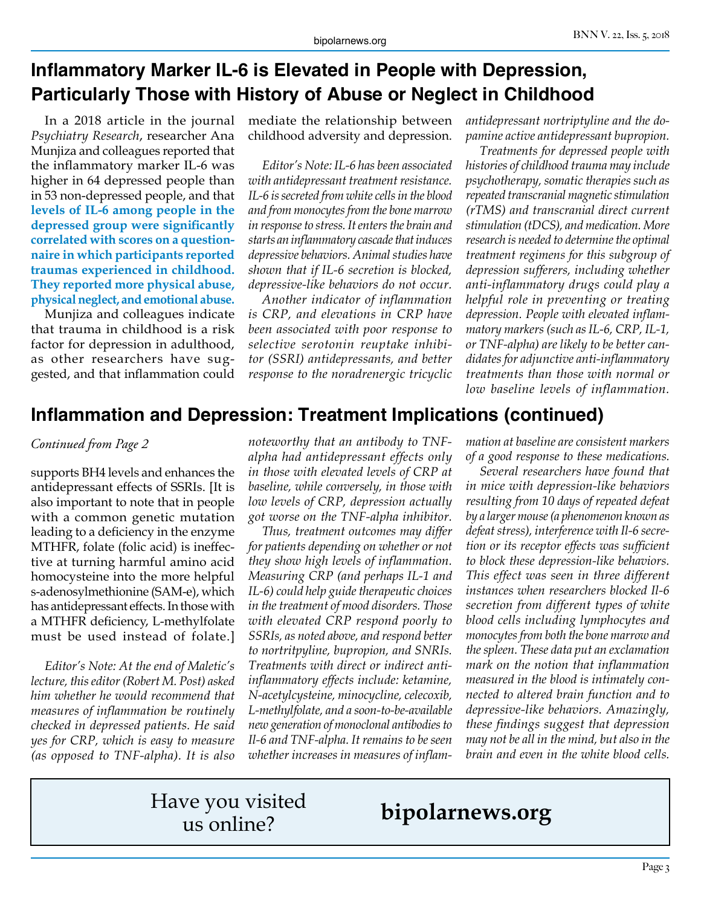# **Inflammatory Marker IL-6 is Elevated in People with Depression, Particularly Those with History of Abuse or Neglect in Childhood**

In a 2018 article in the journal *Psychiatry Research*, researcher Ana Munjiza and colleagues reported that the inflammatory marker IL-6 was higher in 64 depressed people than in 53 non-depressed people, and that **levels of IL-6 among people in the depressed group were significantly correlated with scores on a questionnaire in which participants reported traumas experienced in childhood. They reported more physical abuse, physical neglect, and emotional abuse.**

Munjiza and colleagues indicate that trauma in childhood is a risk factor for depression in adulthood, as other researchers have suggested, and that inflammation could

mediate the relationship between childhood adversity and depression.

*Editor's Note: IL-6 has been associated with antidepressant treatment resistance. IL-6 is secreted from white cells in the blood and from monocytes from the bone marrow in response to stress. It enters the brain and starts an inflammatory cascade that induces depressive behaviors. Animal studies have shown that if IL-6 secretion is blocked, depressive-like behaviors do not occur.*

*Another indicator of inflammation is CRP, and elevations in CRP have been associated with poor response to selective serotonin reuptake inhibitor (SSRI) antidepressants, and better response to the noradrenergic tricyclic* 

*antidepressant nortriptyline and the dopamine active antidepressant bupropion.*

*Treatments for depressed people with histories of childhood trauma may include psychotherapy, somatic therapies such as repeated transcranial magnetic stimulation (rTMS) and transcranial direct current stimulation (tDCS), and medication. More research is needed to determine the optimal treatment regimens for this subgroup of depression sufferers, including whether anti-inflammatory drugs could play a helpful role in preventing or treating depression. People with elevated inflammatory markers (such as IL-6, CRP, IL-1, or TNF-alpha) are likely to be better candidates for adjunctive anti-inflammatory treatments than those with normal or low baseline levels of inflammation.* 

#### **Inflammation and Depression: Treatment Implications (continued)**

#### *Continued from Page 2*

supports BH4 levels and enhances the antidepressant effects of SSRIs. [It is also important to note that in people with a common genetic mutation leading to a deficiency in the enzyme MTHFR, folate (folic acid) is ineffective at turning harmful amino acid homocysteine into the more helpful s-adenosylmethionine (SAM-e), which has antidepressant effects. In those with a MTHFR deficiency, L-methylfolate must be used instead of folate.]

*Editor's Note: At the end of Maletic's lecture, this editor (Robert M. Post) asked him whether he would recommend that measures of inflammation be routinely checked in depressed patients. He said yes for CRP, which is easy to measure (as opposed to TNF-alpha). It is also* 

*noteworthy that an antibody to TNFalpha had antidepressant effects only in those with elevated levels of CRP at baseline, while conversely, in those with low levels of CRP, depression actually got worse on the TNF-alpha inhibitor.*

*Thus, treatment outcomes may differ for patients depending on whether or not they show high levels of inflammation. Measuring CRP (and perhaps IL-1 and IL-6) could help guide therapeutic choices in the treatment of mood disorders. Those with elevated CRP respond poorly to SSRIs, as noted above, and respond better to nortritpyline, bupropion, and SNRIs. Treatments with direct or indirect antiinflammatory effects include: ketamine, N-acetylcysteine, minocycline, celecoxib, L-methylfolate, and a soon-to-be-available new generation of monoclonal antibodies to Il-6 and TNF-alpha. It remains to be seen whether increases in measures of inflam-* *mation at baseline are consistent markers of a good response to these medications.*

*Several researchers have found that in mice with depression-like behaviors resulting from 10 days of repeated defeat by a larger mouse (a phenomenon known as defeat stress), interference with Il-6 secretion or its receptor effects was sufficient to block these depression-like behaviors. This effect was seen in three different instances when researchers blocked Il-6 secretion from different types of white blood cells including lymphocytes and monocytes from both the bone marrow and the spleen. These data put an exclamation mark on the notion that inflammation measured in the blood is intimately connected to altered brain function and to depressive-like behaviors. Amazingly, these findings suggest that depression may not be all in the mind, but also in the brain and even in the white blood cells.*

# Have you visited

# us online? **bipolarnews.org**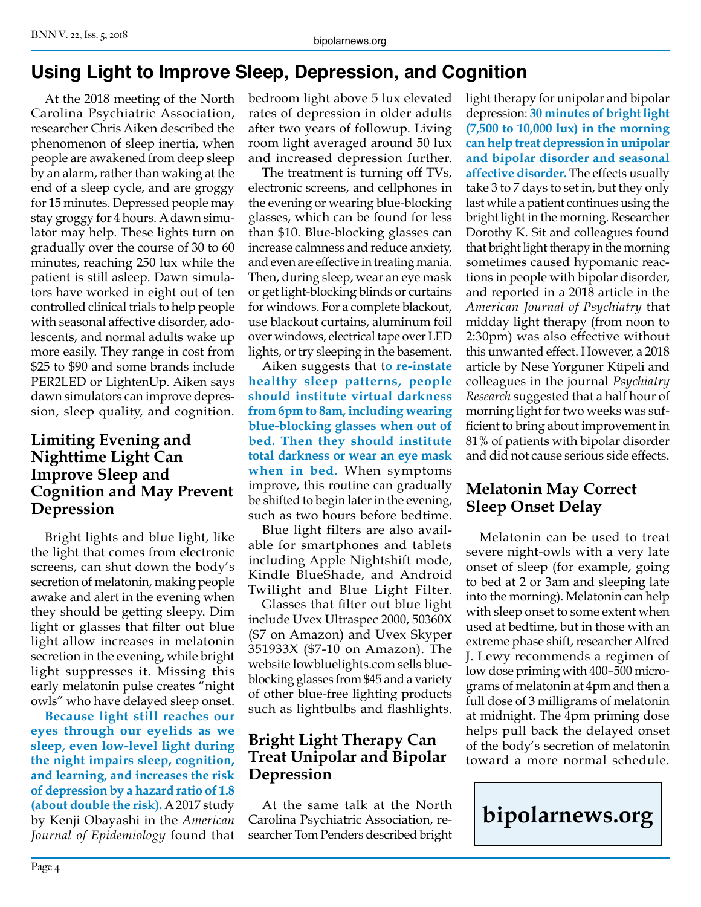# **Using Light to Improve Sleep, Depression, and Cognition**

At the 2018 meeting of the North Carolina Psychiatric Association, researcher Chris Aiken described the phenomenon of sleep inertia, when people are awakened from deep sleep by an alarm, rather than waking at the end of a sleep cycle, and are groggy for 15 minutes. Depressed people may stay groggy for 4 hours. A dawn simulator may help. These lights turn on gradually over the course of 30 to 60 minutes, reaching 250 lux while the patient is still asleep. Dawn simulators have worked in eight out of ten controlled clinical trials to help people with seasonal affective disorder, adolescents, and normal adults wake up more easily. They range in cost from \$25 to \$90 and some brands include PER2LED or LightenUp. Aiken says dawn simulators can improve depression, sleep quality, and cognition.

#### **Limiting Evening and Nighttime Light Can Improve Sleep and Cognition and May Prevent Depression**

Bright lights and blue light, like the light that comes from electronic screens, can shut down the body's secretion of melatonin, making people awake and alert in the evening when they should be getting sleepy. Dim light or glasses that filter out blue light allow increases in melatonin secretion in the evening, while bright light suppresses it. Missing this early melatonin pulse creates "night owls" who have delayed sleep onset.

**Because light still reaches our eyes through our eyelids as we sleep, even low-level light during the night impairs sleep, cognition, and learning, and increases the risk of depression by a hazard ratio of 1.8 (about double the risk).** A 2017 study by Kenji Obayashi in the *American Journal of Epidemiology* found that bedroom light above 5 lux elevated rates of depression in older adults after two years of followup. Living room light averaged around 50 lux and increased depression further.

The treatment is turning off TVs, electronic screens, and cellphones in the evening or wearing blue-blocking glasses, which can be found for less than \$10. Blue-blocking glasses can increase calmness and reduce anxiety, and even are effective in treating mania. Then, during sleep, wear an eye mask or get light-blocking blinds or curtains for windows. For a complete blackout, use blackout curtains, aluminum foil over windows, electrical tape over LED lights, or try sleeping in the basement.

Aiken suggests that t**o re-instate healthy sleep patterns, people should institute virtual darkness from 6pm to 8am, including wearing blue-blocking glasses when out of bed. Then they should institute total darkness or wear an eye mask when in bed.** When symptoms improve, this routine can gradually be shifted to begin later in the evening, such as two hours before bedtime.

Blue light filters are also available for smartphones and tablets including Apple Nightshift mode, Kindle BlueShade, and Android Twilight and Blue Light Filter.

Glasses that filter out blue light include Uvex Ultraspec 2000, 50360X (\$7 on Amazon) and Uvex Skyper 351933X (\$7-10 on Amazon). The website lowbluelights.com sells blueblocking glasses from \$45 and a variety of other blue-free lighting products such as lightbulbs and flashlights.

#### **Bright Light Therapy Can Treat Unipolar and Bipolar Depression**

At the same talk at the North Carolina Psychiatric Association, researcher Tom Penders described bright light therapy for unipolar and bipolar depression: **30 minutes of bright light (7,500 to 10,000 lux) in the morning can help treat depression in unipolar and bipolar disorder and seasonal affective disorder.** The effects usually take 3 to 7 days to set in, but they only last while a patient continues using the bright light in the morning. Researcher Dorothy K. Sit and colleagues found that bright light therapy in the morning sometimes caused hypomanic reactions in people with bipolar disorder, and reported in a 2018 article in the *American Journal of Psychiatry* that midday light therapy (from noon to 2:30pm) was also effective without this unwanted effect. However, a 2018 article by Nese Yorguner Küpeli and colleagues in the journal *Psychiatry Research* suggested that a half hour of morning light for two weeks was sufficient to bring about improvement in 81% of patients with bipolar disorder and did not cause serious side effects.

#### **Melatonin May Correct Sleep Onset Delay**

Melatonin can be used to treat severe night-owls with a very late onset of sleep (for example, going to bed at 2 or 3am and sleeping late into the morning). Melatonin can help with sleep onset to some extent when used at bedtime, but in those with an extreme phase shift, researcher Alfred J. Lewy recommends a regimen of low dose priming with 400–500 micrograms of melatonin at 4pm and then a full dose of 3 milligrams of melatonin at midnight. The 4pm priming dose helps pull back the delayed onset of the body's secretion of melatonin toward a more normal schedule.

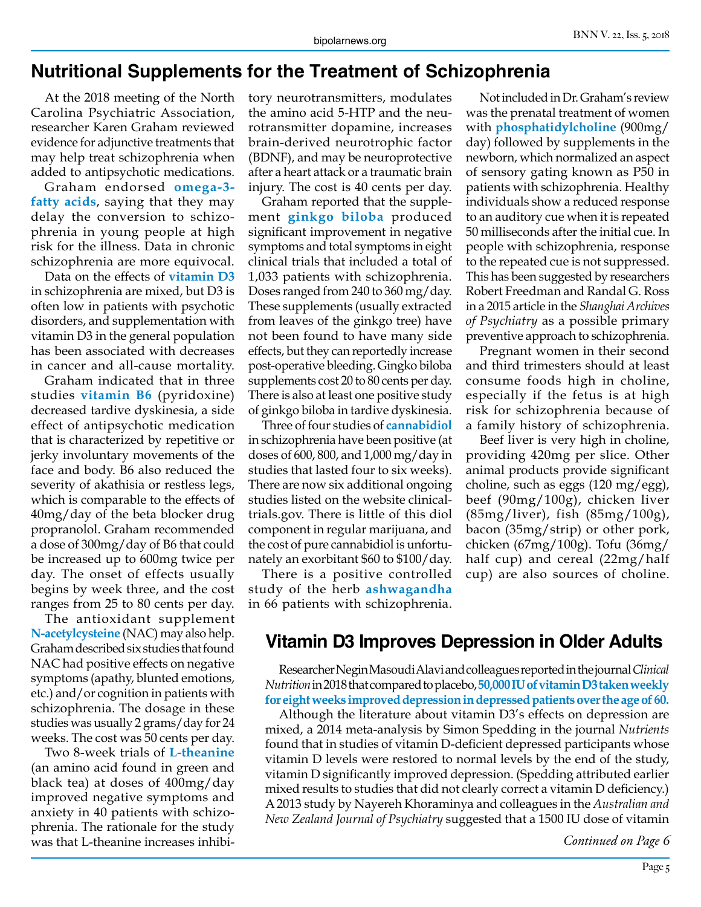#### **Nutritional Supplements for the Treatment of Schizophrenia**

At the 2018 meeting of the North Carolina Psychiatric Association, researcher Karen Graham reviewed evidence for adjunctive treatments that may help treat schizophrenia when added to antipsychotic medications.

Graham endorsed **omega-3 fatty acids**, saying that they may delay the conversion to schizophrenia in young people at high risk for the illness. Data in chronic schizophrenia are more equivocal.

Data on the effects of **vitamin D3**  in schizophrenia are mixed, but D3 is often low in patients with psychotic disorders, and supplementation with vitamin D3 in the general population has been associated with decreases in cancer and all-cause mortality.

Graham indicated that in three studies **vitamin B6** (pyridoxine) decreased tardive dyskinesia, a side effect of antipsychotic medication that is characterized by repetitive or jerky involuntary movements of the face and body. B6 also reduced the severity of akathisia or restless legs, which is comparable to the effects of 40mg/day of the beta blocker drug propranolol. Graham recommended a dose of 300mg/day of B6 that could be increased up to 600mg twice per day. The onset of effects usually begins by week three, and the cost ranges from 25 to 80 cents per day.

The antioxidant supplement **N-acetylcysteine** (NAC) may also help. Graham described six studies that found NAC had positive effects on negative symptoms (apathy, blunted emotions, etc.) and/or cognition in patients with schizophrenia. The dosage in these studies was usually 2 grams/day for 24 weeks. The cost was 50 cents per day.

Two 8-week trials of **L-theanine**  (an amino acid found in green and black tea) at doses of 400mg/day improved negative symptoms and anxiety in 40 patients with schizophrenia. The rationale for the study was that L-theanine increases inhibitory neurotransmitters, modulates the amino acid 5-HTP and the neurotransmitter dopamine, increases brain-derived neurotrophic factor (BDNF), and may be neuroprotective after a heart attack or a traumatic brain injury. The cost is 40 cents per day.

Graham reported that the supplement **ginkgo biloba** produced significant improvement in negative symptoms and total symptoms in eight clinical trials that included a total of 1,033 patients with schizophrenia. Doses ranged from 240 to 360 mg/day. These supplements (usually extracted from leaves of the ginkgo tree) have not been found to have many side effects, but they can reportedly increase post-operative bleeding. Gingko biloba supplements cost 20 to 80 cents per day. There is also at least one positive study of ginkgo biloba in tardive dyskinesia.

Three of four studies of **cannabidiol** in schizophrenia have been positive (at doses of 600, 800, and 1,000 mg/day in studies that lasted four to six weeks). There are now six additional ongoing studies listed on the website clinicaltrials.gov. There is little of this diol component in regular marijuana, and the cost of pure cannabidiol is unfortunately an exorbitant \$60 to \$100/day.

There is a positive controlled study of the herb **ashwagandha** in 66 patients with schizophrenia.

Not included in Dr. Graham's review was the prenatal treatment of women with **phosphatidylcholine** (900mg/ day) followed by supplements in the newborn, which normalized an aspect of sensory gating known as P50 in patients with schizophrenia. Healthy individuals show a reduced response to an auditory cue when it is repeated 50 milliseconds after the initial cue. In people with schizophrenia, response to the repeated cue is not suppressed. This has been suggested by researchers Robert Freedman and Randal G. Ross in a 2015 article in the *Shanghai Archives of Psychiatry* as a possible primary preventive approach to schizophrenia.

Pregnant women in their second and third trimesters should at least consume foods high in choline, especially if the fetus is at high risk for schizophrenia because of a family history of schizophrenia.

Beef liver is very high in choline, providing 420mg per slice. Other animal products provide significant choline, such as eggs (120 mg/egg), beef (90mg/100g), chicken liver (85mg/liver), fish (85mg/100g), bacon (35mg/strip) or other pork, chicken (67mg/100g). Tofu (36mg/ half cup) and cereal (22mg/half cup) are also sources of choline.

# **Vitamin D3 Improves Depression in Older Adults**

Researcher Negin Masoudi Alavi and colleagues reported in the journal *Clinical Nutrition* in 2018 that compared to placebo, **50,000 IU of vitamin D3 taken weekly for eight weeks improved depression in depressed patients over the age of 60.**

Although the literature about vitamin D3's effects on depression are mixed, a 2014 meta-analysis by Simon Spedding in the journal *Nutrients* found that in studies of vitamin D-deficient depressed participants whose vitamin D levels were restored to normal levels by the end of the study, vitamin D significantly improved depression. (Spedding attributed earlier mixed results to studies that did not clearly correct a vitamin D deficiency.) A 2013 study by Nayereh Khoraminya and colleagues in the *Australian and New Zealand Journal of Psychiatry* suggested that a 1500 IU dose of vitamin

*Continued on Page 6*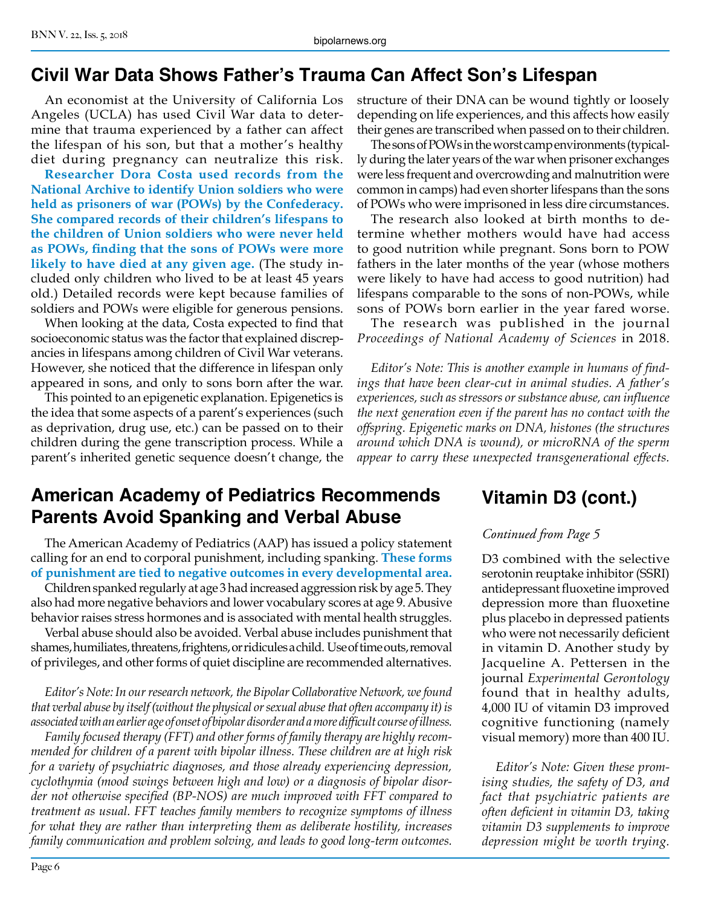# **Civil War Data Shows Father's Trauma Can Affect Son's Lifespan**

An economist at the University of California Los Angeles (UCLA) has used Civil War data to determine that trauma experienced by a father can affect the lifespan of his son, but that a mother's healthy diet during pregnancy can neutralize this risk.

**Researcher Dora Costa used records from the National Archive to identify Union soldiers who were held as prisoners of war (POWs) by the Confederacy. She compared records of their children's lifespans to the children of Union soldiers who were never held as POWs, finding that the sons of POWs were more likely to have died at any given age.** (The study included only children who lived to be at least 45 years old.) Detailed records were kept because families of soldiers and POWs were eligible for generous pensions.

When looking at the data, Costa expected to find that socioeconomic status was the factor that explained discrepancies in lifespans among children of Civil War veterans. However, she noticed that the difference in lifespan only appeared in sons, and only to sons born after the war.

This pointed to an epigenetic explanation. Epigenetics is the idea that some aspects of a parent's experiences (such as deprivation, drug use, etc.) can be passed on to their children during the gene transcription process. While a parent's inherited genetic sequence doesn't change, the

# **American Academy of Pediatrics Recommends Parents Avoid Spanking and Verbal Abuse**

The American Academy of Pediatrics (AAP) has issued a policy statement calling for an end to corporal punishment, including spanking. **These forms of punishment are tied to negative outcomes in every developmental area.**

Children spanked regularly at age 3 had increased aggression risk by age 5. They also had more negative behaviors and lower vocabulary scores at age 9. Abusive behavior raises stress hormones and is associated with mental health struggles.

Verbal abuse should also be avoided. Verbal abuse includes punishment that shames, humiliates, threatens, frightens, or ridicules a child. Use of time outs, removal of privileges, and other forms of quiet discipline are recommended alternatives.

*Editor's Note: In our research network, the Bipolar Collaborative Network, we found that verbal abuse by itself (without the physical or sexual abuse that often accompany it) is associated with an earlier age of onset of bipolar disorder and a more difficult course of illness.* 

*Family focused therapy (FFT) and other forms of family therapy are highly recommended for children of a parent with bipolar illness. These children are at high risk for a variety of psychiatric diagnoses, and those already experiencing depression, cyclothymia (mood swings between high and low) or a diagnosis of bipolar disorder not otherwise specified (BP-NOS) are much improved with FFT compared to treatment as usual. FFT teaches family members to recognize symptoms of illness for what they are rather than interpreting them as deliberate hostility, increases family communication and problem solving, and leads to good long-term outcomes.*

Page 6

structure of their DNA can be wound tightly or loosely depending on life experiences, and this affects how easily their genes are transcribed when passed on to their children.

The sons of POWs in the worst camp environments (typically during the later years of the war when prisoner exchanges were less frequent and overcrowding and malnutrition were common in camps) had even shorter lifespans than the sons of POWs who were imprisoned in less dire circumstances.

The research also looked at birth months to determine whether mothers would have had access to good nutrition while pregnant. Sons born to POW fathers in the later months of the year (whose mothers were likely to have had access to good nutrition) had lifespans comparable to the sons of non-POWs, while sons of POWs born earlier in the year fared worse.

The research was published in the journal *Proceedings of National Academy of Sciences* in 2018.

*Editor's Note: This is another example in humans of findings that have been clear-cut in animal studies. A father's experiences, such as stressors or substance abuse, can influence the next generation even if the parent has no contact with the offspring. Epigenetic marks on DNA, histones (the structures around which DNA is wound), or microRNA of the sperm appear to carry these unexpected transgenerational effects.*

# **Vitamin D3 (cont.)**

#### *Continued from Page 5*

D3 combined with the selective serotonin reuptake inhibitor (SSRI) antidepressant fluoxetine improved depression more than fluoxetine plus placebo in depressed patients who were not necessarily deficient in vitamin D. Another study by Jacqueline A. Pettersen in the journal *Experimental Gerontology* found that in healthy adults, 4,000 IU of vitamin D3 improved cognitive functioning (namely visual memory) more than 400 IU.

*Editor's Note: Given these promising studies, the safety of D3, and fact that psychiatric patients are often deficient in vitamin D3, taking vitamin D3 supplements to improve depression might be worth trying.*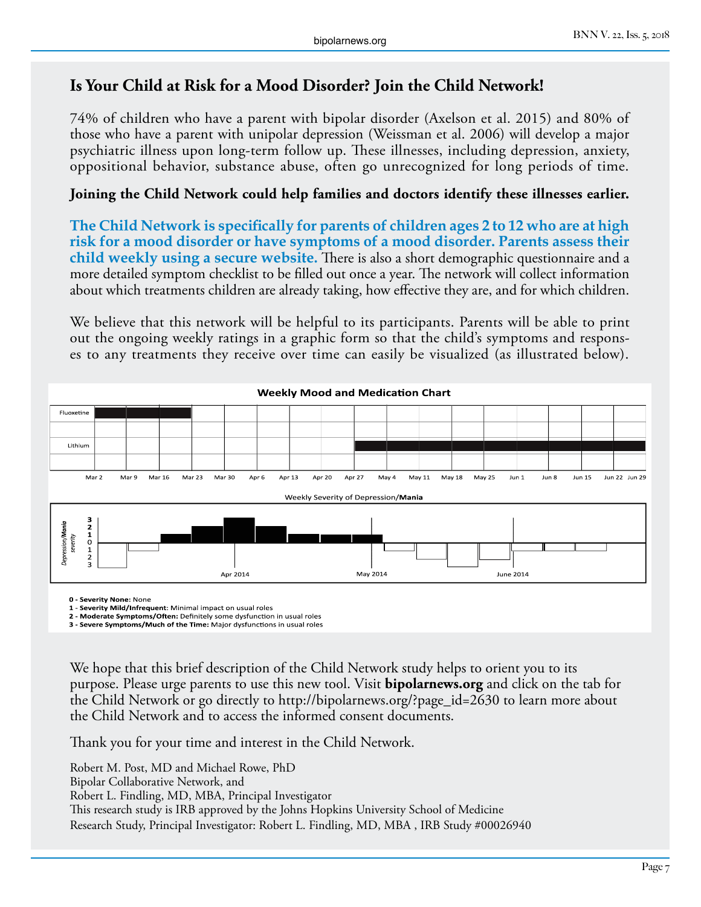#### **Is Your Child at Risk for a Mood Disorder? Join the Child Network!**

74% of children who have a parent with bipolar disorder (Axelson et al. 2015) and 80% of those who have a parent with unipolar depression (Weissman et al. 2006) will develop a major psychiatric illness upon long-term follow up. These illnesses, including depression, anxiety, oppositional behavior, substance abuse, often go unrecognized for long periods of time.

#### **Joining the Child Network could help families and doctors identify these illnesses earlier.**

**The Child Network is specifically for parents of children ages 2 to 12 who are at high risk for a mood disorder or have symptoms of a mood disorder. Parents assess their child weekly using a secure website.** There is also a short demographic questionnaire and a more detailed symptom checklist to be filled out once a year. The network will collect information about which treatments children are already taking, how effective they are, and for which children.

We believe that this network will be helpful to its participants. Parents will be able to print out the ongoing weekly ratings in a graphic form so that the child's symptoms and responses to any treatments they receive over time can easily be visualized (as illustrated below).



**0 - Severity None:** None

**1 - Severity Mild/Infrequent**: Minimal impact on usual roles

**2 - Moderate Symptoms/Often:** Definitely some dysfunction in usual roles **3 - Severe Symptoms/Much of the Time:** Major dysfunctions in usual roles

We hope that this brief description of the Child Network study helps to orient you to its purpose. Please urge parents to use this new tool. Visit **bipolarnews.org** and click on the tab for the Child Network or go directly to http://bipolarnews.org/?page\_id=2630 to learn more about the Child Network and to access the informed consent documents.

Thank you for your time and interest in the Child Network.

Robert M. Post, MD and Michael Rowe, PhD Bipolar Collaborative Network, and Robert L. Findling, MD, MBA, Principal Investigator This research study is IRB approved by the Johns Hopkins University School of Medicine Research Study, Principal Investigator: Robert L. Findling, MD, MBA , IRB Study #00026940